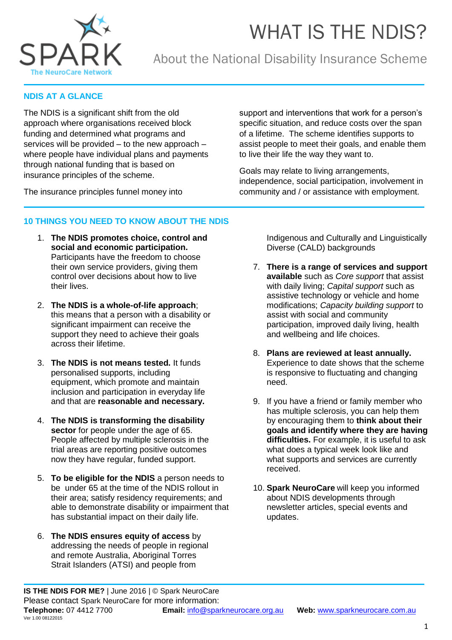



### About the National Disability Insurance Scheme

### **NDIS AT A GLANCE**

The NDIS is a significant shift from the old approach where organisations received block funding and determined what programs and services will be provided – to the new approach – where people have individual plans and payments through national funding that is based on insurance principles of the scheme.

The insurance principles funnel money into

support and interventions that work for a person's specific situation, and reduce costs over the span of a lifetime. The scheme identifies supports to assist people to meet their goals, and enable them to live their life the way they want to.

Goals may relate to living arrangements, independence, social participation, involvement in community and / or assistance with employment.

### **10 THINGS YOU NEED TO KNOW ABOUT THE NDIS**

- 1. **The NDIS promotes choice, control and social and economic participation.**  Participants have the freedom to choose their own service providers, giving them control over decisions about how to live their lives.
- 2. **The NDIS is a whole-of-life approach**; this means that a person with a disability or significant impairment can receive the support they need to achieve their goals across their lifetime.
- 3. **The NDIS is not means tested.** It funds personalised supports, including equipment, which promote and maintain inclusion and participation in everyday life and that are **reasonable and necessary.**
- 4. **The NDIS is transforming the disability sector** for people under the age of 65. People affected by multiple sclerosis in the trial areas are reporting positive outcomes now they have regular, funded support.
- 5. **To be eligible for the NDIS** a person needs to be under 65 at the time of the NDIS rollout in their area; satisfy residency requirements; and able to demonstrate disability or impairment that has substantial impact on their daily life.
- 6. **The NDIS ensures equity of access** by addressing the needs of people in regional and remote Australia, Aboriginal Torres Strait Islanders (ATSI) and people from

Indigenous and Culturally and Linguistically Diverse (CALD) backgrounds

- 7. **There is a range of services and support available** such as *Core support* that assist with daily living; *Capital support* such as assistive technology or vehicle and home modifications; *Capacity building support* to assist with social and community participation, improved daily living, health and wellbeing and life choices.
- 8. **Plans are reviewed at least annually.** Experience to date shows that the scheme is responsive to fluctuating and changing need.
- 9. If you have a friend or family member who has multiple sclerosis, you can help them by encouraging them to **think about their goals and identify where they are having difficulties.** For example, it is useful to ask what does a typical week look like and what supports and services are currently received.
- 10. **Spark NeuroCare** will keep you informed about NDIS developments through newsletter articles, special events and updates.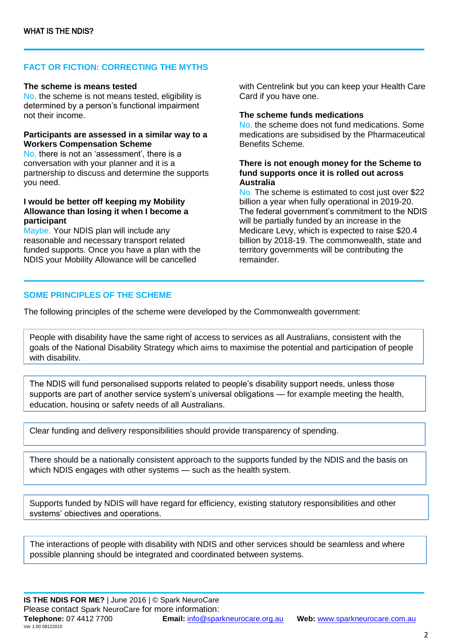### **FACT OR FICTION: CORRECTING THE MYTHS**

### **The scheme is means tested**

No, the scheme is not means tested, eligibility is determined by a person's functional impairment not their income.

### **Participants are assessed in a similar way to a Workers Compensation Scheme**

No, there is not an 'assessment', there is a conversation with your planner and it is a partnership to discuss and determine the supports you need.

### **I would be better off keeping my Mobility Allowance than losing it when I become a participant**

Maybe. Your NDIS plan will include any reasonable and necessary transport related funded supports. Once you have a plan with the NDIS your Mobility Allowance will be cancelled

with Centrelink but you can keep your Health Care Card if you have one.

#### **The scheme funds medications**

No, the scheme does not fund medications. Some medications are subsidised by the Pharmaceutical Benefits Scheme.

### **There is not enough money for the Scheme to fund supports once it is rolled out across Australia**

No. The scheme is estimated to cost just over \$22 billion a year when fully operational in 2019-20. The federal government's commitment to the NDIS will be partially funded by an increase in the Medicare Levy, which is expected to raise \$20.4 billion by 2018-19. The commonwealth, state and territory governments will be contributing the remainder.

### **SOME PRINCIPLES OF THE SCHEME**

The following principles of the scheme were developed by the Commonwealth government:

People with disability have the same right of access to services as all Australians, consistent with the goals of the National Disability Strategy which aims to maximise the potential and participation of people with disability.

The NDIS will fund personalised supports related to people's disability support needs, unless those supports are part of another service system's universal obligations — for example meeting the health, education, housing or safety needs of all Australians.

Clear funding and delivery responsibilities should provide transparency of spending.

There should be a nationally consistent approach to the supports funded by the NDIS and the basis on which NDIS engages with other systems — such as the health system.

Supports funded by NDIS will have regard for efficiency, existing statutory responsibilities and other systems' objectives and operations.

The interactions of people with disability with NDIS and other services should be seamless and where possible planning should be integrated and coordinated between systems.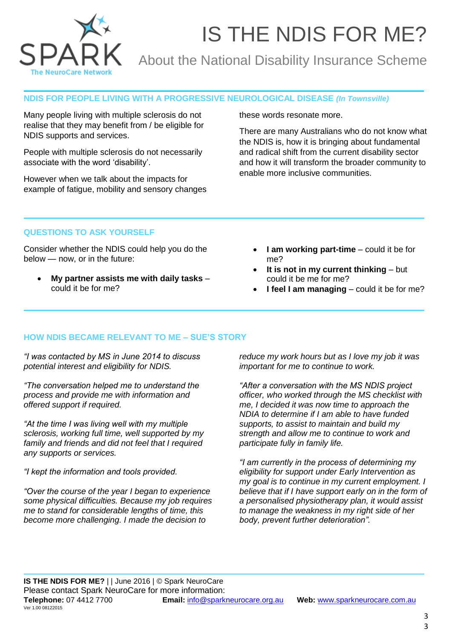

# IS THE NDIS FOR ME?

## About the National Disability Insurance Scheme

### **NDIS FOR PEOPLE LIVING WITH A PROGRESSIVE NEUROLOGICAL DISEASE** *(In Townsville)*

Many people living with multiple sclerosis do not realise that they may benefit from / be eligible for NDIS supports and services.

People with multiple sclerosis do not necessarily associate with the word 'disability'.

However when we talk about the impacts for example of fatigue, mobility and sensory changes these words resonate more.

There are many Australians who do not know what the NDIS is, how it is bringing about fundamental and radical shift from the current disability sector and how it will transform the broader community to enable more inclusive communities.

### **QUESTIONS TO ASK YOURSELF**

Consider whether the NDIS could help you do the below — now, or in the future:

- **My partner assists me with daily tasks** could it be for me?
- **I am working part-time** could it be for me?
- **It is not in my current thinking** but could it be me for me?
- **I feel I am managing** could it be for me?

### **HOW NDIS BECAME RELEVANT TO ME – SUE'S STORY**

*"I was contacted by MS in June 2014 to discuss potential interest and eligibility for NDIS.*

*"The conversation helped me to understand the process and provide me with information and offered support if required.*

*"At the time I was living well with my multiple sclerosis, working full time, well supported by my family and friends and did not feel that I required any supports or services.*

*"I kept the information and tools provided.*

*"Over the course of the year I began to experience some physical difficulties. Because my job requires me to stand for considerable lengths of time, this become more challenging. I made the decision to* 

*reduce my work hours but as I love my job it was important for me to continue to work.*

*"After a conversation with the MS NDIS project officer, who worked through the MS checklist with me, I decided it was now time to approach the NDIA to determine if I am able to have funded supports, to assist to maintain and build my strength and allow me to continue to work and participate fully in family life.*

*"I am currently in the process of determining my eligibility for support under Early Intervention as my goal is to continue in my current employment. I believe that if I have support early on in the form of a personalised physiotherapy plan, it would assist to manage the weakness in my right side of her body, prevent further deterioration".*